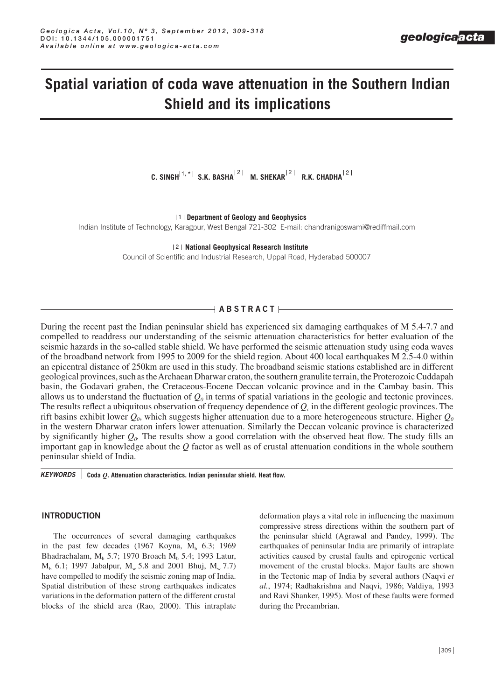# **Spatial variation of coda wave attenuation in the Southern Indian Shield and its implications**

C. SINGH $^{\vert1,\,\star\vert}$  s.k. basha $^{\vert2\vert}$  m. shekar $^{\vert2\vert}$  r.k. chadha $^{\vert2}$ 

**Department of Geology and Geophysics** 1

Indian Institute of Technology, Karagpur, West Bengal 721-302 E-mail: chandranigoswami@rediffmail.com

**National Geophysical Research Institute** 2

Council of Scientific and Industrial Research, Uppal Road, Hyderabad 500007

# $\rightarrow$  <code>ABSTRACT $\,\vdash$ </code>

During the recent past the Indian peninsular shield has experienced six damaging earthquakes of M 5.4-7.7 and compelled to readdress our understanding of the seismic attenuation characteristics for better evaluation of the seismic hazards in the so-called stable shield. We have performed the seismic attenuation study using coda waves of the broadband network from 1995 to 2009 for the shield region. About 400 local earthquakes M 2.5-4.0 within an epicentral distance of 250km are used in this study. The broadband seismic stations established are in different geological provinces, such as the Archaean Dharwar craton, the southern granulite terrain, the Proterozoic Cuddapah basin, the Godavari graben, the Cretaceous-Eocene Deccan volcanic province and in the Cambay basin. This allows us to understand the fluctuation of  $Q_0$  in terms of spatial variations in the geologic and tectonic provinces. The results reflect a ubiquitous observation of frequency dependence of  $Q<sub>c</sub>$  in the different geologic provinces. The rift basins exhibit lower  $Q_0$ , which suggests higher attenuation due to a more heterogeneous structure. Higher  $Q_0$ in the western Dharwar craton infers lower attenuation. Similarly the Deccan volcanic province is characterized by significantly higher  $Q_0$ . The results show a good correlation with the observed heat flow. The study fills an important gap in knowledge about the *Q* factor as well as of crustal attenuation conditions in the whole southern peninsular shield of India.

*KEYWORDS* **Coda** *Q***. Attenuation characteristics. Indian peninsular shield. Heat flow.**

### **INTRODUCTION**

The occurrences of several damaging earthquakes in the past few decades  $(1967 \text{ Koyna}, M_b 6.3; 1969)$ Bhadrachalam,  $M<sub>b</sub>$  5.7; 1970 Broach  $M<sub>b</sub>$  5.4; 1993 Latur,  $M_h$  6.1; 1997 Jabalpur,  $M_w$  5.8 and 2001 Bhuj,  $M_w$  7.7) have compelled to modify the seismic zoning map of India. Spatial distribution of these strong earthquakes indicates variations in the deformation pattern of the different crustal blocks of the shield area (Rao, 2000). This intraplate deformation plays a vital role in influencing the maximum compressive stress directions within the southern part of the peninsular shield (Agrawal and Pandey, 1999). The earthquakes of peninsular India are primarily of intraplate activities caused by crustal faults and epirogenic vertical movement of the crustal blocks. Major faults are shown in the Tectonic map of India by several authors (Naqvi *et al.*, 1974; Radhakrishna and Naqvi, 1986; Valdiya, 1993 and Ravi Shanker, 1995). Most of these faults were formed during the Precambrian.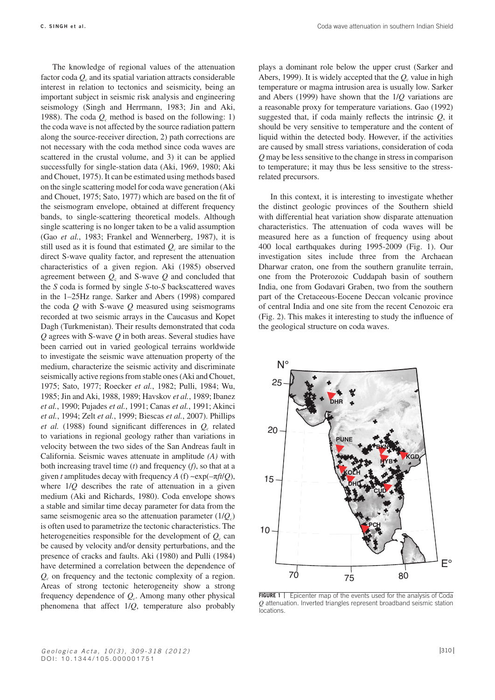Coda wave attenuation in southern Indian Shield

The knowledge of regional values of the attenuation factor coda  $Q_c$  and its spatial variation attracts considerable interest in relation to tectonics and seismicity, being an important subject in seismic risk analysis and engineering seismology (Singh and Herrmann, 1983; Jin and Aki, 1988). The coda  $Q_c$  method is based on the following: 1) the coda wave is not affected by the source radiation pattern along the source-receiver direction, 2) path corrections are not necessary with the coda method since coda waves are scattered in the crustal volume, and 3) it can be applied successfully for single-station data (Aki, 1969, 1980; Aki and Chouet, 1975). It can be estimated using methods based on the single scattering model for coda wave generation (Aki and Chouet, 1975; Sato, 1977) which are based on the fit of the seismogram envelope, obtained at different frequency bands, to single-scattering theoretical models. Although single scattering is no longer taken to be a valid assumption (Gao *et al.*, 1983; Frankel and Wennerberg, 1987), it is still used as it is found that estimated  $Q_c$  are similar to the direct S-wave quality factor, and represent the attenuation characteristics of a given region. Aki (1985) observed agreement between  $Q_c$  and S-wave  $Q$  and concluded that the *S* coda is formed by single *S*-to-*S* backscattered waves in the 1–25Hz range. Sarker and Abers (1998) compared the coda *Q* with S-wave *Q* measured using seismograms recorded at two seismic arrays in the Caucasus and Kopet Dagh (Turkmenistan). Their results demonstrated that coda *Q* agrees with S-wave *Q* in both areas. Several studies have been carried out in varied geological terrains worldwide to investigate the seismic wave attenuation property of the medium, characterize the seismic activity and discriminate seismically active regions from stable ones (Aki and Chouet, 1975; Sato, 1977; Roecker *et al.*, 1982; Pulli, 1984; Wu, 1985; Jin and Aki, 1988, 1989; Havskov *et al.*, 1989; Ibanez *et al.*, 1990; Pujades *et al.*, 1991; Canas *et al.*, 1991; Akinci *et al.*, 1994; Zelt *et al.*, 1999; Biescas *et al.*, 2007). Phillips *et al.* (1988) found significant differences in *Q<sub>c</sub>* related to variations in regional geology rather than variations in velocity between the two sides of the San Andreas fault in California. Seismic waves attenuate in amplitude *(A)* with both increasing travel time (*t*) and frequency (*f)*, so that at a given *t* amplitudes decay with frequency *A* (f) ~exp( $-\pi ft/Q$ ), where 1/*Q* describes the rate of attenuation in a given medium (Aki and Richards, 1980). Coda envelope shows a stable and similar time decay parameter for data from the same seismogenic area so the attenuation parameter  $(1/O<sub>c</sub>)$ is often used to parametrize the tectonic characteristics. The heterogeneities responsible for the development of  $Q_c$  can be caused by velocity and/or density perturbations, and the presence of cracks and faults. Aki (1980) and Pulli (1984) have determined a correlation between the dependence of *Qc* on frequency and the tectonic complexity of a region. Areas of strong tectonic heterogeneity show a strong frequency dependence of *Qc*. Among many other physical phenomena that affect 1/*Q*, temperature also probably

plays a dominant role below the upper crust (Sarker and Abers, 1999). It is widely accepted that the  $Q_c$  value in high temperature or magma intrusion area is usually low. Sarker and Abers (1999) have shown that the 1/*Q* variations are a reasonable proxy for temperature variations. Gao (1992) suggested that, if coda mainly reflects the intrinsic *Q*, it should be very sensitive to temperature and the content of liquid within the detected body. However, if the activities are caused by small stress variations, consideration of coda *Q* may be less sensitive to the change in stress in comparison to temperature; it may thus be less sensitive to the stressrelated precursors.

In this context, it is interesting to investigate whether the distinct geologic provinces of the Southern shield with differential heat variation show disparate attenuation characteristics. The attenuation of coda waves will be measured here as a function of frequency using about 400 local earthquakes during 1995-2009 (Fig. 1). Our investigation sites include three from the Archaean Dharwar craton, one from the southern granulite terrain, one from the Proterozoic Cuddapah basin of southern India, one from Godavari Graben, two from the southern part of the Cretaceous-Eocene Deccan volcanic province of central India and one site from the recent Cenozoic era (Fig. 2). This makes it interesting to study the influence of the geological structure on coda waves.



**FIGURE 1** Epicenter map of the events used for the analysis of Coda *Q* attenuation. Inverted triangles represent broadband seismic station locations.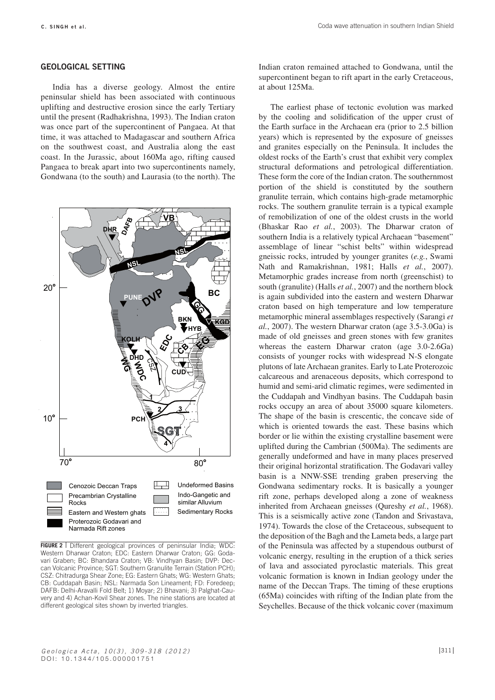#### **GEOLOGICAL SETTING**

India has a diverse geology. Almost the entire peninsular shield has been associated with continuous uplifting and destructive erosion since the early Tertiary until the present (Radhakrishna, 1993). The Indian craton was once part of the supercontinent of Pangaea. At that time, it was attached to Madagascar and southern Africa on the southwest coast, and Australia along the east coast. In the Jurassic, about 160Ma ago, rifting caused Pangaea to break apart into two supercontinents namely, Gondwana (to the south) and Laurasia (to the north). The



**FIGURE 2** Different geological provinces of peninsular India; WDC: Western Dharwar Craton; EDC: Eastern Dharwar Craton; GG: Godavari Graben; BC: Bhandara Craton; VB: Vindhyan Basin; DVP: Deccan Volcanic Province; SGT: Southern Granulite Terrain (Station PCH); CSZ: Chitradurga Shear Zone; EG: Eastern Ghats; WG: Western Ghats; CB: Cuddapah Basin; NSL: Narmada Son Lineament; FD: Foredeep; DAFB: Delhi-Aravalli Fold Belt; 1) Moyar; 2) Bhavani; 3) Palghat-Cauvery and 4) Achan-Kovil Shear zones. The nine stations are located at different geological sites shown by inverted triangles.

Indian craton remained attached to Gondwana, until the supercontinent began to rift apart in the early Cretaceous, at about 125Ma.

The earliest phase of tectonic evolution was marked by the cooling and solidification of the upper crust of the Earth surface in the Archaean era (prior to 2.5 billion years) which is represented by the exposure of gneisses and granites especially on the Peninsula. It includes the oldest rocks of the Earth's crust that exhibit very complex structural deformations and petrological differentiation. These form the core of the Indian craton. The southernmost portion of the shield is constituted by the southern granulite terrain, which contains high-grade metamorphic rocks. The southern granulite terrain is a typical example of remobilization of one of the oldest crusts in the world (Bhaskar Rao *et al.*, 2003). The Dharwar craton of southern India is a relatively typical Archaean "basement" assemblage of linear "schist belts" within widespread gneissic rocks, intruded by younger granites (*e.g.*, Swami Nath and Ramakrishnan, 1981; Halls *et al.*, 2007). Metamorphic grades increase from north (greenschist) to south (granulite) (Halls *et al.*, 2007) and the northern block is again subdivided into the eastern and western Dharwar craton based on high temperature and low temperature metamorphic mineral assemblages respectively (Sarangi *et al.*, 2007). The western Dharwar craton (age 3.5-3.0Ga) is made of old gneisses and green stones with few granites whereas the eastern Dharwar craton (age 3.0-2.6Ga) consists of younger rocks with widespread N-S elongate plutons of late Archaean granites. Early to Late Proterozoic calcareous and arenaceous deposits, which correspond to humid and semi-arid climatic regimes, were sedimented in the Cuddapah and Vindhyan basins. The Cuddapah basin rocks occupy an area of about 35000 square kilometers. The shape of the basin is crescentic, the concave side of which is oriented towards the east. These basins which border or lie within the existing crystalline basement were uplifted during the Cambrian (500Ma). The sediments are generally undeformed and have in many places preserved their original horizontal stratification. The Godavari valley basin is a NNW-SSE trending graben preserving the Gondwana sedimentary rocks. It is basically a younger rift zone, perhaps developed along a zone of weakness inherited from Archaean gneisses (Qureshy *et al.*, 1968). This is a seismically active zone (Tandon and Srivastava, 1974). Towards the close of the Cretaceous, subsequent to the deposition of the Bagh and the Lameta beds, a large part of the Peninsula was affected by a stupendous outburst of volcanic energy, resulting in the eruption of a thick series of lava and associated pyroclastic materials. This great volcanic formation is known in Indian geology under the name of the Deccan Traps. The timing of these eruptions (65Ma) coincides with rifting of the Indian plate from the Seychelles. Because of the thick volcanic cover (maximum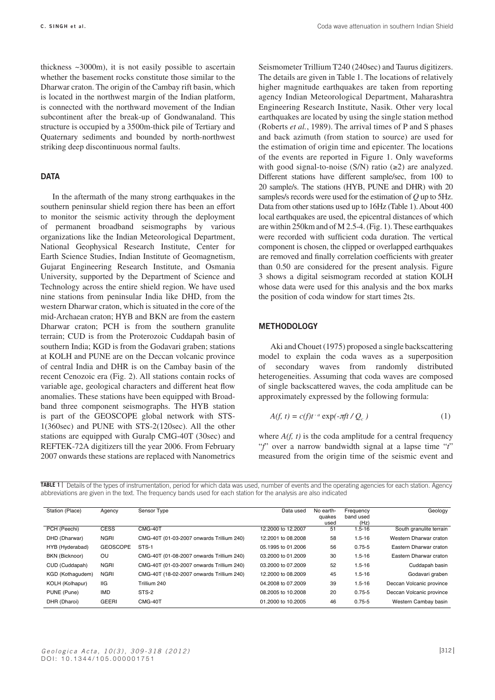thickness  $\sim$  3000m), it is not easily possible to ascertain whether the basement rocks constitute those similar to the Dharwar craton. The origin of the Cambay rift basin, which is located in the northwest margin of the Indian platform, is connected with the northward movement of the Indian subcontinent after the break-up of Gondwanaland. This structure is occupied by a 3500m-thick pile of Tertiary and Quaternary sediments and bounded by north-northwest striking deep discontinuous normal faults.

# **DATA**

In the aftermath of the many strong earthquakes in the southern peninsular shield region there has been an effort to monitor the seismic activity through the deployment of permanent broadband seismographs by various organizations like the Indian Meteorological Department, National Geophysical Research Institute, Center for Earth Science Studies, Indian Institute of Geomagnetism, Gujarat Engineering Research Institute, and Osmania University, supported by the Department of Science and Technology across the entire shield region. We have used nine stations from peninsular India like DHD, from the western Dharwar craton, which is situated in the core of the mid-Archaean craton; HYB and BKN are from the eastern Dharwar craton; PCH is from the southern granulite terrain; CUD is from the Proterozoic Cuddapah basin of southern India; KGD is from the Godavari graben; stations at KOLH and PUNE are on the Deccan volcanic province of central India and DHR is on the Cambay basin of the recent Cenozoic era (Fig. 2). All stations contain rocks of variable age, geological characters and different heat flow anomalies. These stations have been equipped with Broadband three component seismographs. The HYB station is part of the GEOSCOPE global network with STS-1(360sec) and PUNE with STS-2(120sec). All the other stations are equipped with Guralp CMG-40T (30sec) and REFTEK-72A digitizers till the year 2006. From February 2007 onwards these stations are replaced with Nanometrics Seismometer Trillium T240 (240sec) and Taurus digitizers. The details are given in Table 1. The locations of relatively higher magnitude earthquakes are taken from reporting agency Indian Meteorological Department, Maharashtra Engineering Research Institute, Nasik. Other very local earthquakes are located by using the single station method (Roberts *et al.*, 1989). The arrival times of P and S phases and back azimuth (from station to source) are used for the estimation of origin time and epicenter. The locations of the events are reported in Figure 1. Only waveforms with good signal-to-noise  $(S/N)$  ratio ( $\geq$ 2) are analyzed. Different stations have different sample/sec, from 100 to 20 sample/s. The stations (HYB, PUNE and DHR) with 20 samples/s records were used for the estimation of *Q* up to 5Hz. Data from other stations used up to 16Hz (Table 1). About 400 local earthquakes are used, the epicentral distances of which are within 250km and of M 2.5-4. (Fig. 1). These earthquakes were recorded with sufficient coda duration. The vertical component is chosen, the clipped or overlapped earthquakes are removed and finally correlation coefficients with greater than 0.50 are considered for the present analysis. Figure 3 shows a digital seismogram recorded at station KOLH whose data were used for this analysis and the box marks the position of coda window for start times 2ts.

## **METHODOLOGY**

Aki and Chouet (1975) proposed a single backscattering model to explain the coda waves as a superposition of secondary waves from randomly distributed heterogeneities. Assuming that coda waves are composed of single backscattered waves, the coda amplitude can be approximately expressed by the following formula:

$$
A(f, t) = c(f)t^{-a} \exp(-\pi ft / Q_c)
$$
 (1)

where  $A(f, t)$  is the coda amplitude for a central frequency "*f*" over a narrow bandwidth signal at a lapse time "*t*" measured from the origin time of the seismic event and

**Table 1**  abbreviations are given in the text. The frequency bands used for each station for the analysis are also indicated TABLE 1 | Details of the types of instrumentation, period for which data was used, number of events and the operating agencies for each station. Agency

| Station (Place)  | Agency          | Sensor Type                               | Data used          | No earth-<br>quakes<br>used | Frequency<br>band used<br>(Hz) | Geology                  |
|------------------|-----------------|-------------------------------------------|--------------------|-----------------------------|--------------------------------|--------------------------|
| PCH (Peechi)     | <b>CESS</b>     | CMG-40T                                   | 12,2000 to 12,2007 | 51                          | $1.5 - 16$                     | South granulite terrain  |
| DHD (Dharwar)    | <b>NGRI</b>     | CMG-40T (01-03-2007 onwards Trillium 240) | 12,2001 to 08,2008 | 58                          | $1.5 - 16$                     | Western Dharwar craton   |
| HYB (Hyderabad)  | <b>GEOSCOPE</b> | STS-1                                     | 05.1995 to 01.2006 | 56                          | $0.75 - 5$                     | Eastern Dharwar craton   |
| BKN (Bicknoor)   | <b>OU</b>       | CMG-40T (01-08-2007 onwards Trillium 240) | 03.2000 to 01.2009 | 30                          | $1.5 - 16$                     | Eastern Dharwar craton   |
| CUD (Cuddapah)   | <b>NGRI</b>     | CMG-40T (01-03-2007 onwards Trillium 240) | 03.2000 to 07.2009 | 52                          | $1.5 - 16$                     | Cuddapah basin           |
| KGD (Kothaqudem) | <b>NGRI</b>     | CMG-40T (18-02-2007 onwards Trillium 240) | 12,2000 to 08,2009 | 45                          | $1.5 - 16$                     | Godavari graben          |
| KOLH (Kolhapur)  | IIG             | Trillium 240                              | 04.2008 to 07.2009 | 39                          | $1.5 - 16$                     | Deccan Volcanic province |
| PUNE (Pune)      | <b>IMD</b>      | STS-2                                     | 08,2005 to 10,2008 | 20                          | $0.75 - 5$                     | Deccan Volcanic province |
| DHR (Dharoi)     | <b>GEERI</b>    | CMG-40T                                   | 01.2000 to 10.2005 | 46                          | $0.75 - 5$                     | Western Cambay basin     |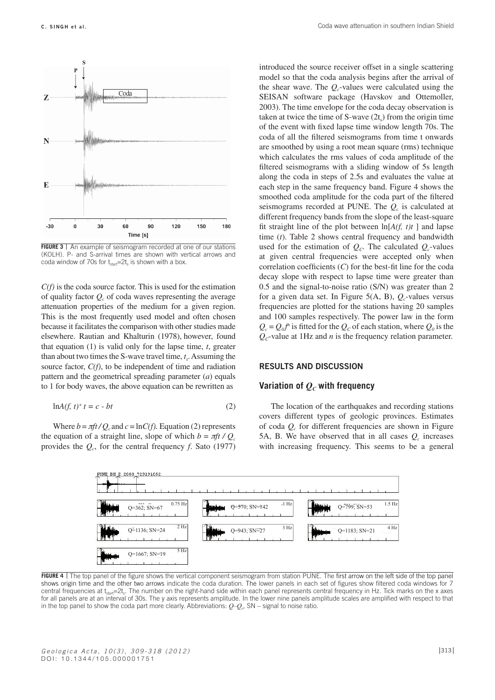

**FIGURE 3** | An example of seismogram recorded at one of our stations (KOLH). P- and S-arrival times are shown with vertical arrows and coda window of 70s for  $t_{start}=2t_s$  is shown with a box.

*C(f)* is the coda source factor. This is used for the estimation of quality factor  $Q<sub>c</sub>$  of coda waves representing the average attenuation properties of the medium for a given region. This is the most frequently used model and often chosen because it facilitates the comparison with other studies made elsewhere. Rautian and Khalturin (1978), however, found that equation (1) is valid only for the lapse time, *t*, greater than about two times the S-wave travel time,  $t<sub>s</sub>$ . Assuming the source factor, *C(f)*, to be independent of time and radiation pattern and the geometrical spreading parameter (*a*) equals to 1 for body waves, the above equation can be rewritten as

$$
\ln A(f, t)^* t = c - bt \tag{2}
$$

Where  $b = \pi f t / Q_c$  and  $c = \ln C(f)$ . Equation (2) represents the equation of a straight line, slope of which  $b = \pi f t / Q_c$ provides the  $Q_c$ , for the central frequency *f*. Sato (1977)

introduced the source receiver offset in a single scattering model so that the coda analysis begins after the arrival of the shear wave. The  $Q_c$ -values were calculated using the SEISAN software package (Havskov and Ottemoller, 2003). The time envelope for the coda decay observation is taken at twice the time of S-wave  $(2t<sub>s</sub>)$  from the origin time of the event with fixed lapse time window length 70s. The coda of all the filtered seismograms from time t onwards are smoothed by using a root mean square (rms) technique which calculates the rms values of coda amplitude of the filtered seismograms with a sliding window of 5s length along the coda in steps of 2.5s and evaluates the value at each step in the same frequency band. Figure 4 shows the smoothed coda amplitude for the coda part of the filtered seismograms recorded at PUNE. The *Q<sub>c</sub>* is calculated at different frequency bands from the slope of the least-square fit straight line of the plot between  $\ln[A(f, t)t]$  and lapse time (*t*). Table 2 shows central frequency and bandwidth used for the estimation of  $Q_c$ . The calculated  $Q_c$ -values at given central frequencies were accepted only when correlation coefficients (*C*) for the best-fit line for the coda decay slope with respect to lapse time were greater than 0.5 and the signal-to-noise ratio (S/N) was greater than 2 for a given data set. In Figure 5(A, B),  $Q_c$ -values versus frequencies are plotted for the stations having 20 samples and 100 samples respectively. The power law in the form  $Q_c = Q_0 f^n$  is fitted for the  $Q_c$  of each station, where  $Q_0$  is the  $Q<sub>c</sub>$ -value at 1Hz and *n* is the frequency relation parameter.

#### **RESULTS AND DISCUSSION**

# **Variation of**  $Q_C$  **with frequency**

The location of the earthquakes and recording stations covers different types of geologic provinces. Estimates of coda *Qc* for different frequencies are shown in Figure 5A, B. We have observed that in all cases  $Q_c$  increases with increasing frequency. This seems to be a general



**FIGURE 4** | The top panel of the figure shows the vertical component seismogram from station PUNE. The first arrow on the left side of the top panel shows origin time and the other two arrows indicate the coda duration. The lower panels in each set of figures show filtered coda windows for 7 central frequencies at  $t_{\text{start}} = 2t_s$ . The number on the right-hand side within each panel represents central frequency in Hz. Tick marks on the x axes for all panels are at an interval of 30s. The y axis represents amplitude. In the lower nine panels amplitude scales are amplified with respect to that in the top panel to show the coda part more clearly. Abbreviations:  $Q-Q<sub>c</sub>$ , SN – signal to noise ratio.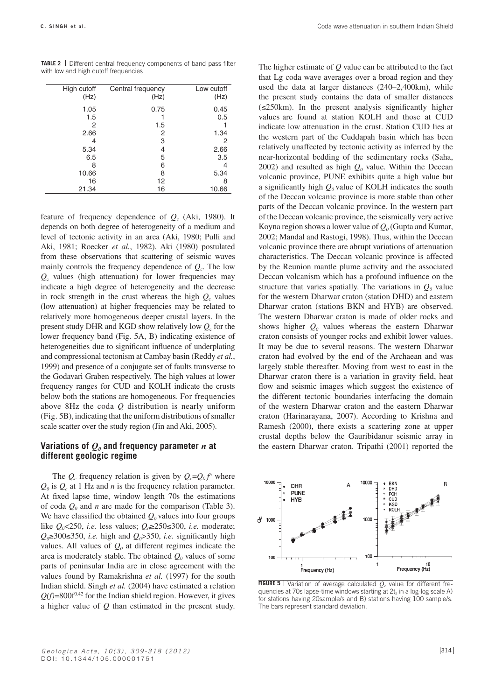| <b>TABLE 2</b>   Different central frequency components of band pass filter |  |
|-----------------------------------------------------------------------------|--|
| with low and high cutoff frequencies                                        |  |

| High cutoff<br>(Hz) | Central frequency<br>(Hz) | Low cutoff<br>(Hz) |
|---------------------|---------------------------|--------------------|
| 1.05                | 0.75                      | 0.45               |
| 1.5                 |                           | 0.5                |
| 2                   | 1.5                       |                    |
| 2.66                | 2                         | 1.34               |
|                     | 3                         | 2                  |
| 5.34                | 4                         | 2.66               |
| 6.5                 | 5                         | 3.5                |
| 8                   | 6                         | 4                  |
| 10.66               | 8                         | 5.34               |
| 16                  | 12                        | 8                  |
| 21.34               | 16                        | 10.66              |

feature of frequency dependence of  $Q_c$  (Aki, 1980). It depends on both degree of heterogeneity of a medium and level of tectonic activity in an area (Aki, 1980; Pulli and Aki, 1981; Roecker *et al.*, 1982). Aki (1980) postulated from these observations that scattering of seismic waves mainly controls the frequency dependence of  $Q_c$ . The low *Q*c values (high attenuation) for lower frequencies may indicate a high degree of heterogeneity and the decrease in rock strength in the crust whereas the high  $Q_c$  values (low attenuation) at higher frequencies may be related to relatively more homogeneous deeper crustal layers. In the present study DHR and KGD show relatively low  $Q_c$  for the lower frequency band (Fig. 5A, B) indicating existence of heterogeneities due to significant influence of underplating and compressional tectonism at Cambay basin (Reddy *et al.*, 1999) and presence of a conjugate set of faults transverse to the Godavari Graben respectively. The high values at lower frequency ranges for CUD and KOLH indicate the crusts below both the stations are homogeneous. For frequencies above 8Hz the coda *Q* distribution is nearly uniform (Fig. 5B), indicating that the uniform distributions of smaller scale scatter over the study region (Jin and Aki, 2005).

# **Variations of**  $Q_{\theta}$  **and frequency parameter** *n* **at different geologic regime**

The  $Q_c$  frequency relation is given by  $Q_c = Q_0 f^n$  where  $Q_0$  is  $Q_c$  at 1 Hz and *n* is the frequency relation parameter. At fixed lapse time, window length 70s the estimations of coda  $Q_0$  and *n* are made for the comparison (Table 3). We have classified the obtained  $Q_0$  values into four groups like *Q0*<250, *i.e.* less values; *Q0*≥250≤300, *i.e.* moderate;  $Q_0$ ≥300≤350, *i.e.* high and  $Q_0$ >350, *i.e.* significantly high values. All values of  $Q_0$  at different regimes indicate the area is moderately stable. The obtained  $Q_0$  values of some parts of peninsular India are in close agreement with the values found by Ramakrishna *et al.* (1997) for the south Indian shield. Singh *et al.* (2004) have estimated a relation  $Q(f)=800f^{0.42}$  for the Indian shield region. However, it gives a higher value of *Q* than estimated in the present study.

The higher estimate of *Q* value can be attributed to the fact that Lg coda wave averages over a broad region and they used the data at larger distances (240–2,400km), while the present study contains the data of smaller distances  $(\leq 250 \text{km})$ . In the present analysis significantly higher values are found at station KOLH and those at CUD indicate low attenuation in the crust. Station CUD lies at the western part of the Cuddapah basin which has been relatively unaffected by tectonic activity as inferred by the near-horizontal bedding of the sedimentary rocks (Saha, 2002) and resulted as high  $Q_0$  value. Within the Deccan volcanic province, PUNE exhibits quite a high value but a significantly high  $Q_0$  value of KOLH indicates the south of the Deccan volcanic province is more stable than other parts of the Deccan volcanic province. In the western part of the Deccan volcanic province, the seismically very active Koyna region shows a lower value of  $Q_0$  (Gupta and Kumar, 2002; Mandal and Rastogi, 1998). Thus, within the Deccan volcanic province there are abrupt variations of attenuation characteristics. The Deccan volcanic province is affected by the Reunion mantle plume activity and the associated Deccan volcanism which has a profound influence on the structure that varies spatially. The variations in  $Q_0$  value for the western Dharwar craton (station DHD) and eastern Dharwar craton (stations BKN and HYB) are observed. The western Dharwar craton is made of older rocks and shows higher  $Q_0$  values whereas the eastern Dharwar craton consists of younger rocks and exhibit lower values. It may be due to several reasons. The western Dharwar craton had evolved by the end of the Archaean and was largely stable thereafter. Moving from west to east in the Dharwar craton there is a variation in gravity field, heat flow and seismic images which suggest the existence of the different tectonic boundaries interfacing the domain of the western Dharwar craton and the eastern Dharwar craton (Harinarayana, 2007). According to Krishna and Ramesh (2000), there exists a scattering zone at upper crustal depths below the Gauribidanur seismic array in the eastern Dharwar craton. Tripathi (2001) reported the



FIGURE 5 | Variation of average calculated  $Q_c$  value for different frequencies at 70s lapse-time windows starting at 2t<sub>s</sub> in a log-log scale A) for stations having 20sample/s and B) stations having 100 sample/s. The bars represent standard deviation.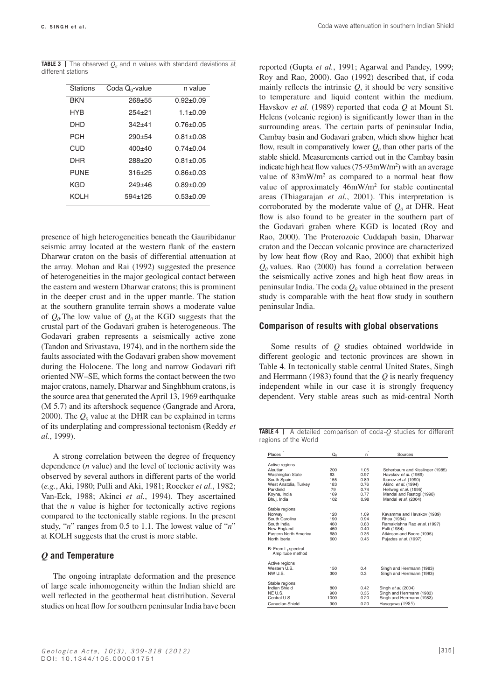**TABLE 3** | The observed  $Q_0$  and n values with standard deviations at different stations

| Stations   | Coda $Q_0$ -value | n value       |
|------------|-------------------|---------------|
| <b>BKN</b> | $268 + 55$        | $0.92 + 0.09$ |
| <b>HYR</b> | 254+21            | $1.1 + 0.09$  |
| DHD        | 342+41            | 0.76+0.05     |
| PCH        | $290 + 54$        | 0.81+0.08     |
| CUD        | $400+40$          | $0.74 + 0.04$ |
| DHR        | 288+20            | $0.81 + 0.05$ |
| PUNF       | $316 + 25$        | $0.86 + 0.03$ |
| KGD        | $249 + 46$        | $0.89 + 0.09$ |
| KOI H      | 594+125           | $0.53 + 0.09$ |

presence of high heterogeneities beneath the Gauribidanur seismic array located at the western flank of the eastern Dharwar craton on the basis of differential attenuation at the array. Mohan and Rai (1992) suggested the presence of heterogeneities in the major geological contact between the eastern and western Dharwar cratons; this is prominent in the deeper crust and in the upper mantle. The station at the southern granulite terrain shows a moderate value of  $Q_0$ . The low value of  $Q_0$  at the KGD suggests that the crustal part of the Godavari graben is heterogeneous. The Godavari graben represents a seismically active zone (Tandon and Srivastava, 1974), and in the northern side the faults associated with the Godavari graben show movement during the Holocene. The long and narrow Godavari rift oriented NW–SE, which forms the contact between the two major cratons, namely, Dharwar and Singhbhum cratons, is the source area that generated the April 13, 1969 earthquake (M 5.7) and its aftershock sequence (Gangrade and Arora, 2000). The  $Q_0$  value at the DHR can be explained in terms of its underplating and compressional tectonism **(**Reddy *et al.*, 1999).

A strong correlation between the degree of frequency dependence (*n* value) and the level of tectonic activity was observed by several authors in different parts of the world (*e.g.*, Aki, 1980; Pulli and Aki, 1981; Roecker *et al.*, 1982; Van-Eck, 1988; Akinci *et al.*, 1994). They ascertained that the  $n$  value is higher for tectonically active regions compared to the tectonically stable regions. In the present study, "*n*" ranges from 0.5 to 1.1. The lowest value of "*n*" at KOLH suggests that the crust is more stable.

#### *Q* **and Temperature**

The ongoing intraplate deformation and the presence of large scale inhomogeneity within the Indian shield are well reflected in the geothermal heat distribution. Several studies on heat flow for southern peninsular India have been reported (Gupta *et al.*, 1991; Agarwal and Pandey, 1999; Roy and Rao, 2000). Gao (1992) described that, if coda mainly reflects the intrinsic  $Q$ , it should be very sensitive to temperature and liquid content within the medium. Havskov *et al.* (1989) reported that coda *Q* at Mount St. Helens (volcanic region) is significantly lower than in the surrounding areas. The certain parts of peninsular India, Cambay basin and Godavari graben, which show higher heat flow, result in comparatively lower  $Q_0$  than other parts of the stable shield. Measurements carried out in the Cambay basin indicate high heat flow values  $(75-93 \text{mW/m}^2)$  with an average value of  $83 \text{mW/m}^2$  as compared to a normal heat flow value of approximately 46mW/m<sup>2</sup> for stable continental areas (Thiagarajan *et al.*, 2001). This interpretation is corroborated by the moderate value of  $Q_0$  at DHR. Heat flow is also found to be greater in the southern part of the Godavari graben where KGD is located (Roy and Rao, 2000). The Proterozoic Cuddapah basin, Dharwar craton and the Deccan volcanic province are characterized by low heat flow (Roy and Rao, 2000) that exhibit high  $Q_0$  values. Rao (2000) has found a correlation between the seismically active zones and high heat flow areas in peninsular India. The coda  $Q_0$  value obtained in the present study is comparable with the heat flow study in southern peninsular India.

## **Comparison of results with global observations**

Some results of *Q* studies obtained worldwide in different geologic and tectonic provinces are shown in Table 4. In tectonically stable central United States, Singh and Herrmann (1983) found that the *Q* is nearly frequency independent while in our case it is strongly frequency dependent. Very stable areas such as mid-central North

**TABLE 4** | A detailed comparison of coda-Q studies for different regions of the World

| Active regions<br>Aleutian<br><b>Washington State</b><br>South Spain<br>West Anatolia, Turkey<br>Parkfield | 200<br>63<br>155 | 1.05<br>0.97 | Scherbaum and Kisslinger (1985)                        |
|------------------------------------------------------------------------------------------------------------|------------------|--------------|--------------------------------------------------------|
|                                                                                                            |                  |              |                                                        |
|                                                                                                            |                  |              |                                                        |
|                                                                                                            |                  |              | Havskov et al. (1989)                                  |
|                                                                                                            |                  | 0.89         | Ibanez et al. (1990)                                   |
|                                                                                                            | 183              | 0.76         | Akinci et al. (1994)                                   |
|                                                                                                            | 79               | 0.74         | Hellweg et al. (1995)                                  |
| Koyna, India                                                                                               | 169              | 0.77         | Mandal and Rastogi (1998)                              |
| Bhuj, India                                                                                                | 102              | 0.98         | Mandal et al. (2004)                                   |
|                                                                                                            |                  |              |                                                        |
| Stable regions                                                                                             |                  |              |                                                        |
| Norway                                                                                                     | 120              | 1.09         | Kavamme and Havskov (1989)                             |
| South Carolina                                                                                             | 190              | 0.94         | Rhea (1984)                                            |
| South India                                                                                                | 460              | 0.83         | Ramakrishna Rao et al. (1997)                          |
| New England                                                                                                | 460              | 0.40         | Pulli (1984)                                           |
| <b>Eastern North America</b>                                                                               | 680              | 0.36         | Atkinson and Boore (1995)                              |
| North Iberia                                                                                               | 600              | 0.45         | Puiades et al. (1997)                                  |
|                                                                                                            |                  |              |                                                        |
| B: From L <sub>o</sub> spectral<br>Amplitude method                                                        |                  |              |                                                        |
| Active regions                                                                                             |                  |              |                                                        |
| Western U.S.                                                                                               | 150              | 0.4          |                                                        |
|                                                                                                            | 300              | 0.3          | Singh and Herrmann (1983)<br>Singh and Herrmann (1983) |
| NW U.S.                                                                                                    |                  |              |                                                        |
| Stable regions                                                                                             |                  |              |                                                        |
| Indian Shield                                                                                              | 800              | 0.42         | Singh et al. (2004)                                    |
| NE U.S.                                                                                                    | 900              | 0.35         | Singh and Herrmann (1983)                              |
| Central U.S.                                                                                               | 1000             | 0.20         | Singh and Herrmann (1983)                              |
| Canadian Shield                                                                                            | 900              | 0.20         | Hasegawa (1985)                                        |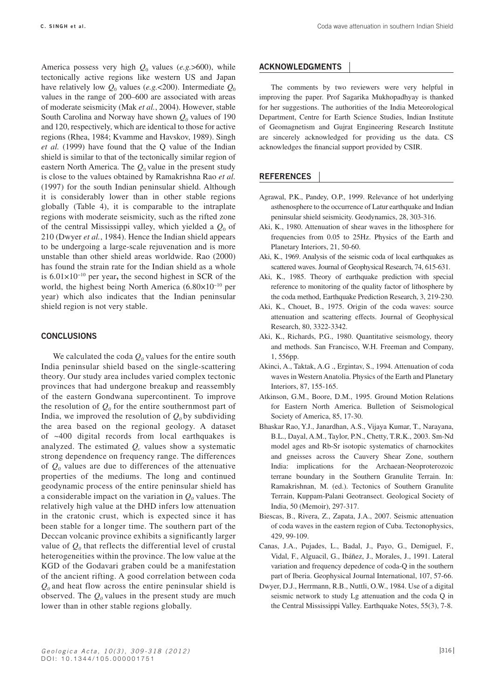America possess very high  $Q_0$  values (e.g.>600), while tectonically active regions like western US and Japan have relatively low  $Q_0$  values (*e.g.*<200). Intermediate  $Q_0$ values in the range of 200–600 are associated with areas of moderate seismicity (Mak *et al.*, 2004). However, stable South Carolina and Norway have shown  $Q_0$  values of 190 and 120, respectively, which are identical to those for active regions (Rhea, 1984; Kvamme and Havskov, 1989). Singh *et al.* (1999) have found that the Q value of the Indian shield is similar to that of the tectonically similar region of eastern North America. The  $Q_0$  value in the present study is close to the values obtained by Ramakrishna Rao *et al.* (1997) for the south Indian peninsular shield. Although it is considerably lower than in other stable regions globally (Table 4), it is comparable to the intraplate regions with moderate seismicity, such as the rifted zone of the central Mississippi valley, which yielded a  $Q_0$  of 210 (Dwyer *et al.*, 1984). Hence the Indian shield appears to be undergoing a large-scale rejuvenation and is more unstable than other shield areas worldwide. Rao (2000) has found the strain rate for the Indian shield as a whole is 6.01×10−10 per year**,** the second highest in SCR of the world, the highest being North America (6.80×10−10 per year) which also indicates that the Indian peninsular shield region is not very stable.

#### **CONCLUSIONS**

We calculated the coda  $Q_0$  values for the entire south India peninsular shield based on the single-scattering theory. Our study area includes varied complex tectonic provinces that had undergone breakup and reassembly of the eastern Gondwana supercontinent. To improve the resolution of  $Q_0$  for the entire southernmost part of India, we improved the resolution of  $Q_0$  by subdividing the area based on the regional geology. A dataset of ~400 digital records from local earthquakes is analyzed. The estimated  $Q_c$  values show a systematic strong dependence on frequency range. The differences of  $Q_0$  values are due to differences of the attenuative properties of the mediums. The long and continued geodynamic process of the entire peninsular shield has a considerable impact on the variation in  $Q_0$  values. The relatively high value at the DHD infers low attenuation in the cratonic crust, which is expected since it has been stable for a longer time. The southern part of the Deccan volcanic province exhibits a significantly larger value of  $Q_0$  that reflects the differential level of crustal heterogeneities within the province. The low value at the KGD of the Godavari graben could be a manifestation of the ancient rifting. A good correlation between coda  $Q_0$  and heat flow across the entire peninsular shield is observed. The  $Q_0$  values in the present study are much lower than in other stable regions globally.

# **ACKNOWLEDGMENTS**

The comments by two reviewers were very helpful in improving the paper. Prof Sagarika Mukhopadhyay is thanked for her suggestions. The authorities of the India Meteorological Department, Centre for Earth Science Studies, Indian Institute of Geomagnetism and Gujrat Engineering Research Institute are sincerely acknowledged for providing us the data. CS acknowledges the financial support provided by CSIR.

# **REFERENCES**

- Agrawal, P.K., Pandey, O.P., 1999. Relevance of hot underlying asthenosphere to the occurrence of Latur earthquake and Indian peninsular shield seismicity. Geodynamics, 28, 303-316.
- Aki, K., 1980. Attenuation of shear waves in the lithosphere for frequencies from 0.05 to 25Hz. Physics of the Earth and Planetary Interiors, 21, 50-60.
- Aki, K., 1969. Analysis of the seismic coda of local earthquakes as scattered waves. Journal of Geophysical Research, 74, 615-631.
- Aki, K., 1985. Theory of earthquake prediction with special reference to monitoring of the quality factor of lithosphere by the coda method, Earthquake Prediction Research, 3, 219-230.
- Aki, K., Chouet, B., 1975. Origin of the coda waves: source attenuation and scattering effects. Journal of Geophysical Research, 80, 3322-3342.
- Aki, K., Richards, P.G., 1980. Quantitative seismology, theory and methods. San Francisco, W.H. Freeman and Company, 1, 556pp.
- Akinci, A., Taktak, A.G ., Ergintav, S., 1994. Attenuation of coda waves in Western Anatolia. Physics of the Earth and Planetary Interiors, 87, 155-165.
- Atkinson, G.M., Boore, D.M., 1995. Ground Motion Relations for Eastern North America. Bulletion of Seismological Society of America, 85, 17-30.
- Bhaskar Rao, Y.J., Janardhan, A.S., Vijaya Kumar, T., Narayana, B.L., Dayal, A.M., Taylor, P.N., Chetty, T.R.K., 2003. Sm-Nd model ages and Rb-Sr isotopic systematics of charnockites and gneisses across the Cauvery Shear Zone, southern India: implications for the Archaean-Neoproterozoic terrane boundary in the Southern Granulite Terrain. In: Ramakrishnan, M. (ed.). Tectonics of Southern Granulite Terrain, Kuppam-Palani Geotransect. Geological Society of India, 50 (Memoir), 297-317.
- Biescas, B., Rivera, Z., Zapata, J.A., 2007. Seismic attenuation of coda waves in the eastern region of Cuba. Tectonophysics, 429, 99-109.
- Canas, J.A., Pujades, L., Badal, J., Payo, G., Demiguel, F., Vidal, F., Alguacil, G., Ibáñez, J., Morales, J., 1991. Lateral variation and frequency depedence of coda-Q in the southern part of Iberia. Geophysical Journal International, 107, 57-66.
- Dwyer, D.J., Herrmann, R.B., Nuttli, O.W., 1984. Use of a digital seismic network to study Lg attenuation and the coda Q in the Central Mississippi Valley. Earthquake Notes, 55(3), 7-8.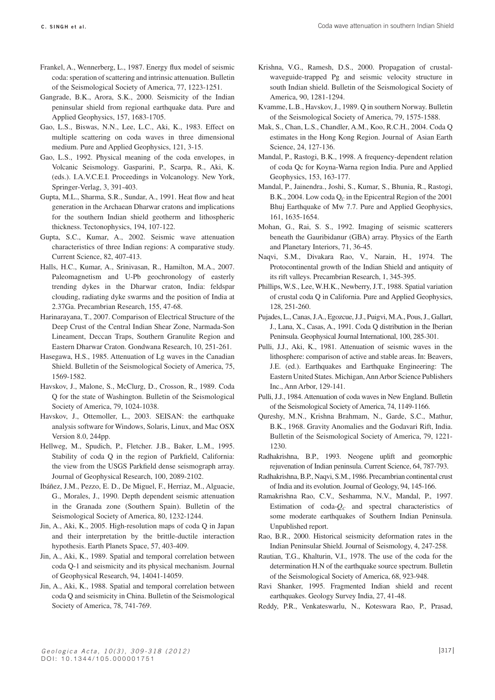- Frankel, A., Wennerberg, L., 1987. Energy flux model of seismic coda: speration of scattering and intrinsic attenuation. Bulletin of the Seismological Society of America, 77, 1223-1251.
- Gangrade, B.K., Arora, S.K., 2000. Seismicity of the Indian peninsular shield from regional earthquake data. Pure and Applied Geophysics, 157, 1683-1705.
- Gao, L.S., Biswas, N.N., Lee, L.C., Aki, K., 1983. Effect on multiple scattering on coda waves in three dimensional medium. Pure and Applied Geophysics, 121, 3-15.
- Gao, L.S., 1992. Physical meaning of the coda envelopes, in Volcanic Seismology. Gasparini, P., Scarpa, R., Aki, K. (eds.). I.A.V.C.E.I. Proceedings in Volcanology. New York, Springer-Verlag, 3, 391-403.
- Gupta, M.L., Sharma, S.R., Sundar, A., 1991. Heat flow and heat generation in the Archaean Dharwar cratons and implications for the southern Indian shield geotherm and lithospheric thickness. Tectonophysics, 194, 107-122.
- Gupta, S.C., Kumar, A., 2002. Seismic wave attenuation characteristics of three Indian regions: A comparative study. Current Science, 82, 407-413.
- Halls, H.C., Kumar, A., Srinivasan, R., Hamilton, M.A., 2007. Paleomagnetism and U-Pb geochronology of easterly trending dykes in the Dharwar craton, India: feldspar clouding, radiating dyke swarms and the position of India at 2.37Ga. Precambrian Research, 155, 47-68.
- Harinarayana, T., 2007. Comparison of Electrical Structure of the Deep Crust of the Central Indian Shear Zone, Narmada-Son Lineament, Deccan Traps, Southern Granulite Region and Eastern Dharwar Craton. Gondwana Research, 10, 251-261.
- Hasegawa, H.S., 1985. Attenuation of Lg waves in the Canadian Shield. Bulletin of the Seismological Society of America, 75, 1569-1582.
- Havskov, J., Malone, S., McClurg, D., Crosson, R., 1989. Coda Q for the state of Washington. Bulletin of the Seismological Society of America, 79, 1024-1038.
- Havskov, J., Ottemoller, L., 2003. SEISAN: the earthquake analysis software for Windows, Solaris, Linux, and Mac OSX Version 8.0, 244pp.
- Hellweg, M., Spudich, P., Fletcher. J.B., Baker, L.M., 1995. Stability of coda Q in the region of Parkfield, California: the view from the USGS Parkfield dense seismograph array. Journal of Geophysical Research, 100, 2089-2102.
- Ibáñez, J.M., Pezzo, E. D., De Miguel, F., Herriaz, M., Alguacie, G., Morales, J., 1990. Depth dependent seismic attenuation in the Granada zone (Southern Spain). Bulletin of the Seismological Society of America, 80, 1232-1244.
- Jin, A., Aki, K., 2005. High-resolution maps of coda Q in Japan and their interpretation by the brittle-ductile interaction hypothesis. Earth Planets Space, 57, 403-409.
- Jin, A., Aki, K., 1989. Spatial and temporal correlation between coda Q-1 and seismicity and its physical mechanism. Journal of Geophysical Research, 94, 14041-14059.
- Jin, A., Aki, K., 1988. Spatial and temporal correlation between coda Q and seismicity in China. Bulletin of the Seismological Society of America, 78, 741-769.
- Krishna, V.G., Ramesh, D.S., 2000. Propagation of crustalwaveguide-trapped Pg and seismic velocity structure in south Indian shield. Bulletin of the Seismological Society of America, 90, 1281-1294.
- Kvamme, L.B., Havskov, J., 1989. Q in southern Norway. Bulletin of the Seismological Society of America, 79, 1575-1588.
- Mak, S., Chan, L.S., Chandler, A.M., Koo, R.C.H., 2004. Coda Q estimates in the Hong Kong Region. Journal of Asian Earth Science, 24, 127-136.
- Mandal, P., Rastogi, B.K., 1998. A frequency-dependent relation of coda Qc for Koyna-Warna region India. Pure and Applied Geophysics, 153, 163-177.
- Mandal, P., Jainendra., Joshi, S., Kumar, S., Bhunia, R., Rastogi, B.K., 2004. Low coda  $Q_c$  in the Epicentral Region of the 2001 Bhuj Earthquake of Mw 7.7. Pure and Applied Geophysics, 161, 1635-1654.
- Mohan, G., Rai, S. S., 1992. Imaging of seismic scatterers beneath the Gauribidanur (GBA) array. Physics of the Earth and Planetary Interiors, 71, 36-45.
- Naqvi, S.M., Divakara Rao, V., Narain, H., 1974. The Protocontinental growth of the Indian Shield and antiquity of its rift valleys. Precambrian Research, 1, 345-395.
- Phillips, W.S., Lee, W.H.K., Newberry, J.T., 1988. Spatial variation of crustal coda Q in California. Pure and Applied Geophysics, 128, 251-260.
- Pujades, L., Canas, J.A., Egozcue, J.J., Puigvi, M.A., Pous, J., Gallart, J., Lana, X., Casas, A., 1991. Coda Q distribution in the Iberian Peninsula. Geophysical Journal International, 100, 285-301.
- Pulli, J.J., Aki, K., 1981. Attenuation of seismic waves in the lithosphere: comparison of active and stable areas. In: Beavers, J.E. (ed.). Earthquakes and Earthquake Engineering: The Eastern United States. Michigan, Ann Arbor Science Publishers Inc., Ann Arbor, 129-141.
- Pulli, J.J., 1984. Attenuation of coda waves in New England. Bulletin of the Seismological Society of America, 74, 1149-1166.
- Qureshy, M.N., Krishna Brahmam, N., Garde, S.C., Mathur, B.K., 1968. Gravity Anomalies and the Godavari Rift, India. Bulletin of the Seismological Society of America, 79, 1221- 1230.
- Radhakrishna, B.P., 1993. Neogene uplift and geomorphic rejuvenation of Indian peninsula. Current Science, 64, 787-793.
- Radhakrishna, B.P., Naqvi, S.M., 1986. Precambrian continental crust of India and its evolution. Journal of Geology, 94, 145-166.
- Ramakrishna Rao, C.V., Seshamma, N.V., Mandal, P., 1997. Estimation of coda- $O<sub>C</sub>$  and spectral characteristics of some moderate earthquakes of Southern Indian Peninsula. Unpublished report.
- Rao, B.R., 2000. Historical seismicity deformation rates in the Indian Peninsular Shield. Journal of Seismology, 4, 247-258.
- Rautian, T.G., Khalturin, V.I., 1978. The use of the coda for the determination H.N of the earthquake source spectrum. Bulletin of the Seismological Society of America, 68, 923-948.
- Ravi Shanker, 1995. Fragmented Indian shield and recent earthquakes. Geology Survey India, 27, 41-48.
- Reddy, P.R., Venkateswarlu, N., Koteswara Rao, P., Prasad,